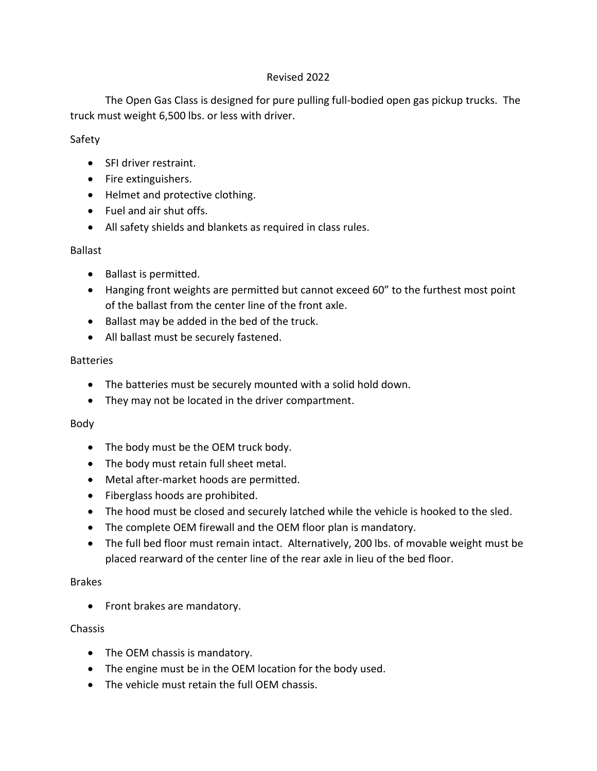### Revised 2022

The Open Gas Class is designed for pure pulling full-bodied open gas pickup trucks. The truck must weight 6,500 lbs. or less with driver.

### Safety

- SFI driver restraint.
- Fire extinguishers.
- Helmet and protective clothing.
- Fuel and air shut offs.
- All safety shields and blankets as required in class rules.

### Ballast

- Ballast is permitted.
- Hanging front weights are permitted but cannot exceed 60" to the furthest most point of the ballast from the center line of the front axle.
- Ballast may be added in the bed of the truck.
- All ballast must be securely fastened.

### **Batteries**

- The batteries must be securely mounted with a solid hold down.
- They may not be located in the driver compartment.

## Body

- The body must be the OEM truck body.
- The body must retain full sheet metal.
- Metal after-market hoods are permitted.
- Fiberglass hoods are prohibited.
- The hood must be closed and securely latched while the vehicle is hooked to the sled.
- The complete OEM firewall and the OEM floor plan is mandatory.
- The full bed floor must remain intact. Alternatively, 200 lbs. of movable weight must be placed rearward of the center line of the rear axle in lieu of the bed floor.

### Brakes

• Front brakes are mandatory.

## Chassis

- The OEM chassis is mandatory.
- The engine must be in the OEM location for the body used.
- The vehicle must retain the full OEM chassis.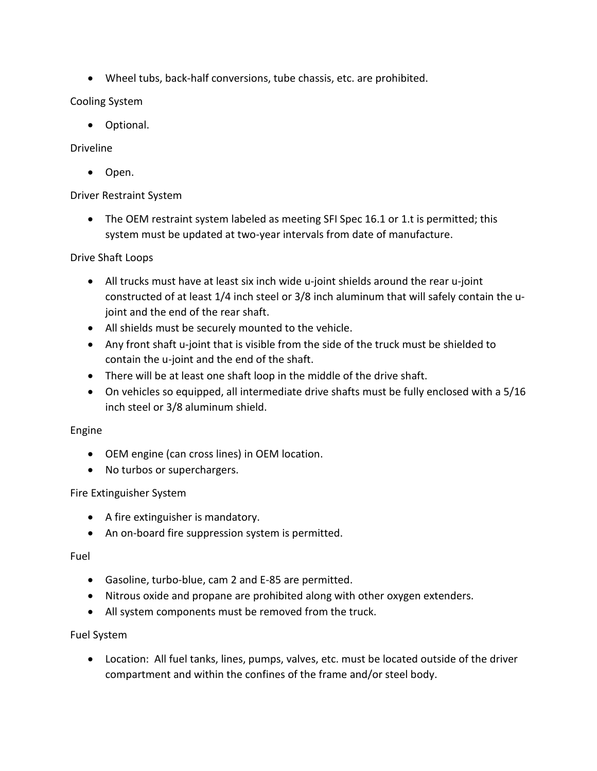• Wheel tubs, back-half conversions, tube chassis, etc. are prohibited.

Cooling System

• Optional.

## Driveline

• Open.

## Driver Restraint System

• The OEM restraint system labeled as meeting SFI Spec 16.1 or 1.t is permitted; this system must be updated at two-year intervals from date of manufacture.

## Drive Shaft Loops

- All trucks must have at least six inch wide u-joint shields around the rear u-joint constructed of at least 1/4 inch steel or 3/8 inch aluminum that will safely contain the ujoint and the end of the rear shaft.
- All shields must be securely mounted to the vehicle.
- Any front shaft u-joint that is visible from the side of the truck must be shielded to contain the u-joint and the end of the shaft.
- There will be at least one shaft loop in the middle of the drive shaft.
- On vehicles so equipped, all intermediate drive shafts must be fully enclosed with a 5/16 inch steel or 3/8 aluminum shield.

## Engine

- OEM engine (can cross lines) in OEM location.
- No turbos or superchargers.

# Fire Extinguisher System

- A fire extinguisher is mandatory.
- An on-board fire suppression system is permitted.

## Fuel

- Gasoline, turbo-blue, cam 2 and E-85 are permitted.
- Nitrous oxide and propane are prohibited along with other oxygen extenders.
- All system components must be removed from the truck.

## Fuel System

• Location: All fuel tanks, lines, pumps, valves, etc. must be located outside of the driver compartment and within the confines of the frame and/or steel body.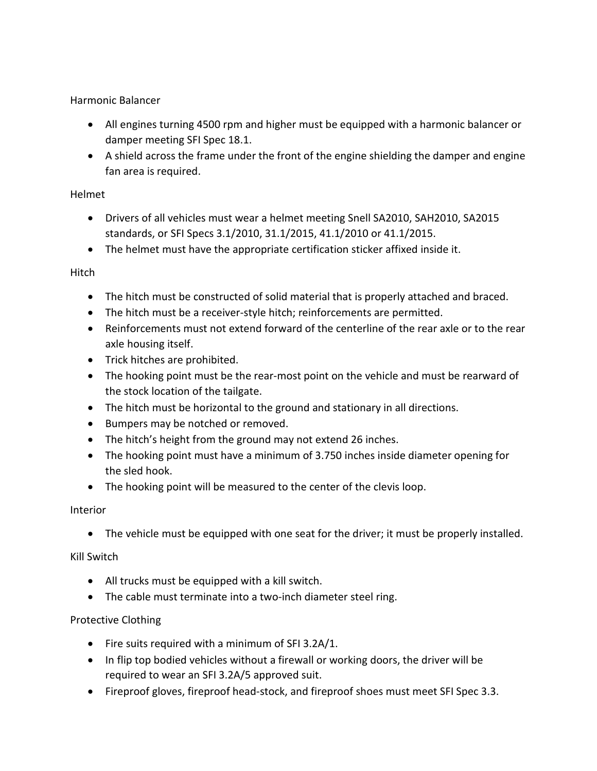Harmonic Balancer

- All engines turning 4500 rpm and higher must be equipped with a harmonic balancer or damper meeting SFI Spec 18.1.
- A shield across the frame under the front of the engine shielding the damper and engine fan area is required.

## Helmet

- Drivers of all vehicles must wear a helmet meeting Snell SA2010, SAH2010, SA2015 standards, or SFI Specs 3.1/2010, 31.1/2015, 41.1/2010 or 41.1/2015.
- The helmet must have the appropriate certification sticker affixed inside it.

# Hitch

- The hitch must be constructed of solid material that is properly attached and braced.
- The hitch must be a receiver-style hitch; reinforcements are permitted.
- Reinforcements must not extend forward of the centerline of the rear axle or to the rear axle housing itself.
- Trick hitches are prohibited.
- The hooking point must be the rear-most point on the vehicle and must be rearward of the stock location of the tailgate.
- The hitch must be horizontal to the ground and stationary in all directions.
- Bumpers may be notched or removed.
- The hitch's height from the ground may not extend 26 inches.
- The hooking point must have a minimum of 3.750 inches inside diameter opening for the sled hook.
- The hooking point will be measured to the center of the clevis loop.

# Interior

• The vehicle must be equipped with one seat for the driver; it must be properly installed.

# Kill Switch

- All trucks must be equipped with a kill switch.
- The cable must terminate into a two-inch diameter steel ring.

# Protective Clothing

- Fire suits required with a minimum of SFI 3.2A/1.
- In flip top bodied vehicles without a firewall or working doors, the driver will be required to wear an SFI 3.2A/5 approved suit.
- Fireproof gloves, fireproof head-stock, and fireproof shoes must meet SFI Spec 3.3.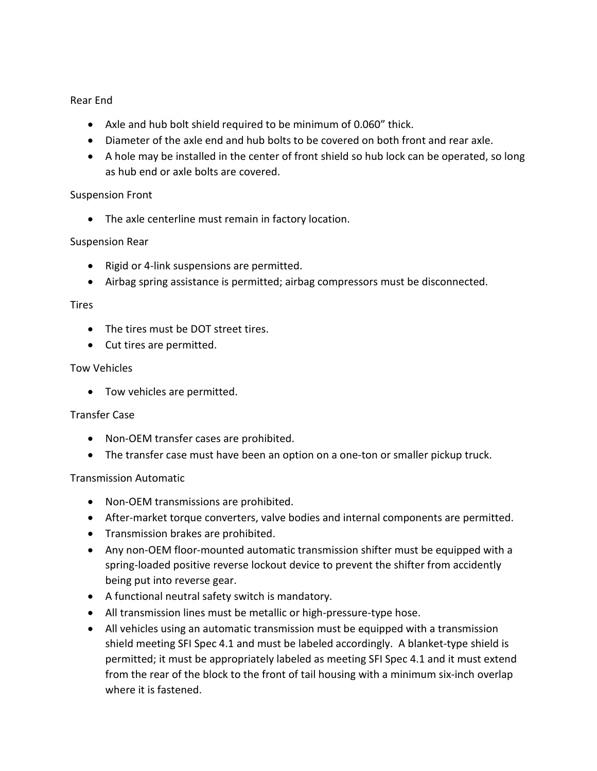### Rear End

- Axle and hub bolt shield required to be minimum of 0.060" thick.
- Diameter of the axle end and hub bolts to be covered on both front and rear axle.
- A hole may be installed in the center of front shield so hub lock can be operated, so long as hub end or axle bolts are covered.

### Suspension Front

• The axle centerline must remain in factory location.

### Suspension Rear

- Rigid or 4-link suspensions are permitted.
- Airbag spring assistance is permitted; airbag compressors must be disconnected.

#### Tires

- The tires must be DOT street tires.
- Cut tires are permitted.

#### Tow Vehicles

• Tow vehicles are permitted.

#### Transfer Case

- Non-OEM transfer cases are prohibited.
- The transfer case must have been an option on a one-ton or smaller pickup truck.

### Transmission Automatic

- Non-OEM transmissions are prohibited.
- After-market torque converters, valve bodies and internal components are permitted.
- Transmission brakes are prohibited.
- Any non-OEM floor-mounted automatic transmission shifter must be equipped with a spring-loaded positive reverse lockout device to prevent the shifter from accidently being put into reverse gear.
- A functional neutral safety switch is mandatory.
- All transmission lines must be metallic or high-pressure-type hose.
- All vehicles using an automatic transmission must be equipped with a transmission shield meeting SFI Spec 4.1 and must be labeled accordingly. A blanket-type shield is permitted; it must be appropriately labeled as meeting SFI Spec 4.1 and it must extend from the rear of the block to the front of tail housing with a minimum six-inch overlap where it is fastened.